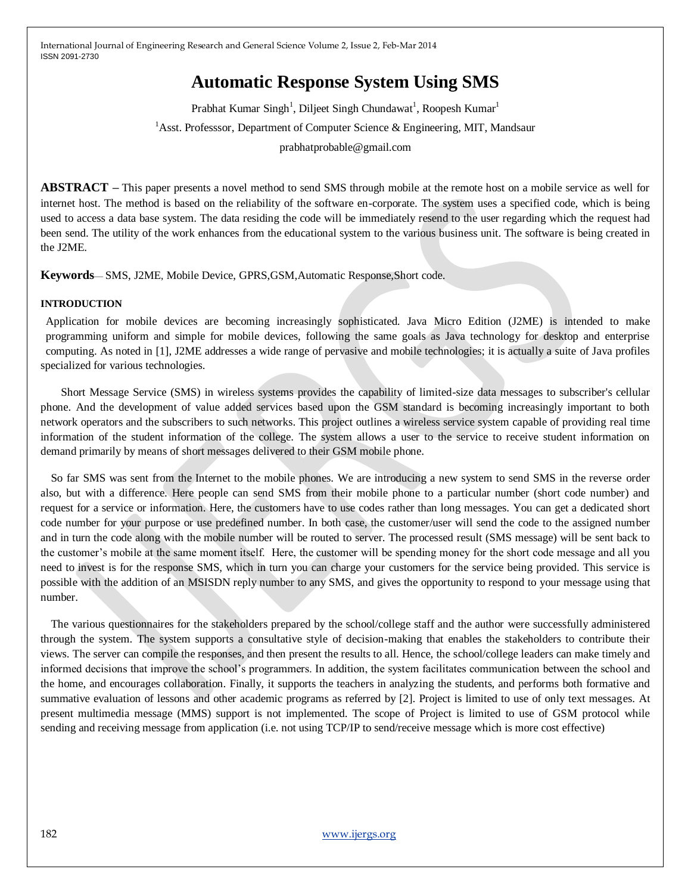# **Automatic Response System Using SMS**

Prabhat Kumar Singh<sup>1</sup>, Diljeet Singh Chundawat<sup>1</sup>, Roopesh Kumar<sup>1</sup> <sup>1</sup>Asst. Professsor, Department of Computer Science & Engineering, MIT, Mandsaur prabhatprobable@gmail.com

**ABSTRACT –** This paper presents a novel method to send SMS through mobile at the remote host on a mobile service as well for internet host. The method is based on the reliability of the software en-corporate. The system uses a specified code, which is being used to access a data base system. The data residing the code will be immediately resend to the user regarding which the request had been send. The utility of the work enhances from the educational system to the various business unit. The software is being created in the J2ME.

**Keywords**— SMS, J2ME, Mobile Device, GPRS,GSM,Automatic Response,Short code.

#### **INTRODUCTION**

Application for mobile devices are becoming increasingly sophisticated. Java Micro Edition (J2ME) is intended to make programming uniform and simple for mobile devices, following the same goals as Java technology for desktop and enterprise computing. As noted in [1], J2ME addresses a wide range of pervasive and mobile technologies; it is actually a suite of Java profiles specialized for various technologies.

Short Message Service (SMS) in wireless systems provides the capability of limited-size data messages to subscriber's cellular phone. And the development of value added services based upon the GSM standard is becoming increasingly important to both network operators and the subscribers to such networks. This project outlines a wireless service system capable of providing real time information of the student information of the college. The system allows a user to the service to receive student information on demand primarily by means of short messages delivered to their GSM mobile phone.

So far SMS was sent from the Internet to the mobile phones. We are introducing a new system to send SMS in the reverse order also, but with a difference. Here people can send SMS from their mobile phone to a particular number (short code number) and request for a service or information. Here, the customers have to use codes rather than long messages. You can get a dedicated short code number for your purpose or use predefined number. In both case, the customer/user will send the code to the assigned number and in turn the code along with the mobile number will be routed to server. The processed result (SMS message) will be sent back to the customer's mobile at the same moment itself. Here, the customer will be spending money for the short code message and all you need to invest is for the response SMS, which in turn you can charge your customers for the service being provided. This service is possible with the addition of an MSISDN reply number to any SMS, and gives the opportunity to respond to your message using that number.

The various questionnaires for the stakeholders prepared by the school/college staff and the author were successfully administered through the system. The system supports a consultative style of decision-making that enables the stakeholders to contribute their views. The server can compile the responses, and then present the results to all. Hence, the school/college leaders can make timely and informed decisions that improve the school's programmers. In addition, the system facilitates communication between the school and the home, and encourages collaboration. Finally, it supports the teachers in analyzing the students, and performs both formative and summative evaluation of lessons and other academic programs as referred by [2]. Project is limited to use of only text messages. At present multimedia message (MMS) support is not implemented. The scope of Project is limited to use of GSM protocol while sending and receiving message from application (i.e. not using TCP/IP to send/receive message which is more cost effective)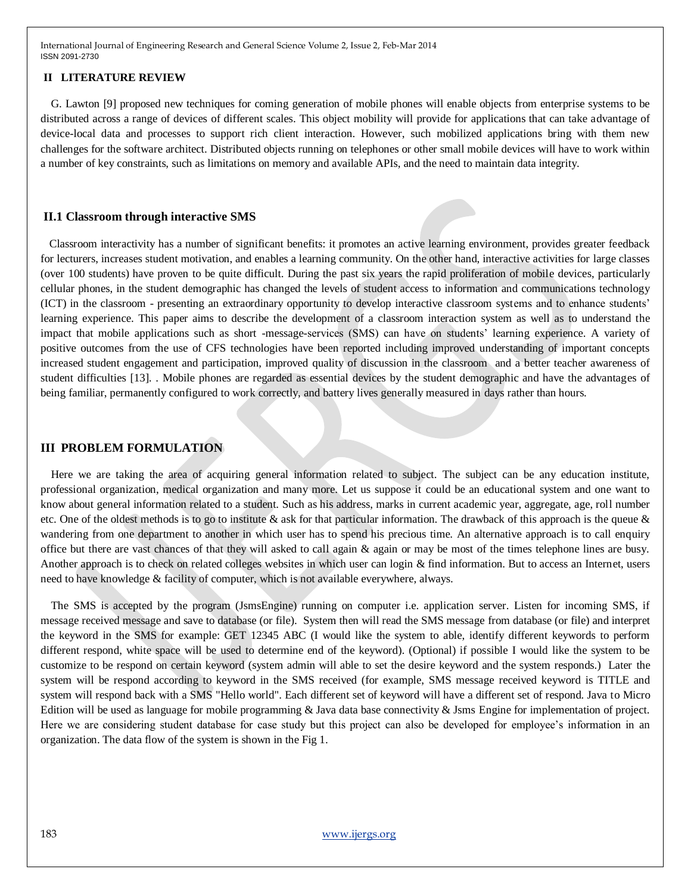#### **II LITERATURE REVIEW**

G. Lawton [9] proposed new techniques for coming generation of mobile phones will enable objects from enterprise systems to be distributed across a range of devices of different scales. This object mobility will provide for applications that can take advantage of device-local data and processes to support rich client interaction. However, such mobilized applications bring with them new challenges for the software architect. Distributed objects running on telephones or other small mobile devices will have to work within a number of key constraints, such as limitations on memory and available APIs, and the need to maintain data integrity.

#### **II.1 Classroom through interactive SMS**

 Classroom interactivity has a number of significant benefits: it promotes an active learning environment, provides greater feedback for lecturers, increases student motivation, and enables a learning community. On the other hand, interactive activities for large classes (over 100 students) have proven to be quite difficult. During the past six years the rapid proliferation of mobile devices, particularly cellular phones, in the student demographic has changed the levels of student access to information and communications technology (ICT) in the classroom - presenting an extraordinary opportunity to develop interactive classroom systems and to enhance students' learning experience. This paper aims to describe the development of a classroom interaction system as well as to understand the impact that mobile applications such as short -message-services (SMS) can have on students' learning experience. A variety of positive outcomes from the use of CFS technologies have been reported including improved understanding of important concepts increased student engagement and participation, improved quality of discussion in the classroom and a better teacher awareness of student difficulties [13]. . Mobile phones are regarded as essential devices by the student demographic and have the advantages of being familiar, permanently configured to work correctly, and battery lives generally measured in days rather than hours.

# **III PROBLEM FORMULATION**

Here we are taking the area of acquiring general information related to subject. The subject can be any education institute, professional organization, medical organization and many more. Let us suppose it could be an educational system and one want to know about general information related to a student. Such as his address, marks in current academic year, aggregate, age, roll number etc. One of the oldest methods is to go to institute & ask for that particular information. The drawback of this approach is the queue & wandering from one department to another in which user has to spend his precious time. An alternative approach is to call enquiry office but there are vast chances of that they will asked to call again & again or may be most of the times telephone lines are busy. Another approach is to check on related colleges websites in which user can login & find information. But to access an Internet, users need to have knowledge & facility of computer, which is not available everywhere, always.

The SMS is accepted by the program (JsmsEngine) running on computer i.e. application server. Listen for incoming SMS, if message received message and save to database (or file). System then will read the SMS message from database (or file) and interpret the keyword in the SMS for example: GET 12345 ABC (I would like the system to able, identify different keywords to perform different respond, white space will be used to determine end of the keyword). (Optional) if possible I would like the system to be customize to be respond on certain keyword (system admin will able to set the desire keyword and the system responds.) Later the system will be respond according to keyword in the SMS received (for example, SMS message received keyword is TITLE and system will respond back with a SMS "Hello world". Each different set of keyword will have a different set of respond. Java to Micro Edition will be used as language for mobile programming & Java data base connectivity & Jsms Engine for implementation of project. Here we are considering student database for case study but this project can also be developed for employee's information in an organization. The data flow of the system is shown in the Fig 1.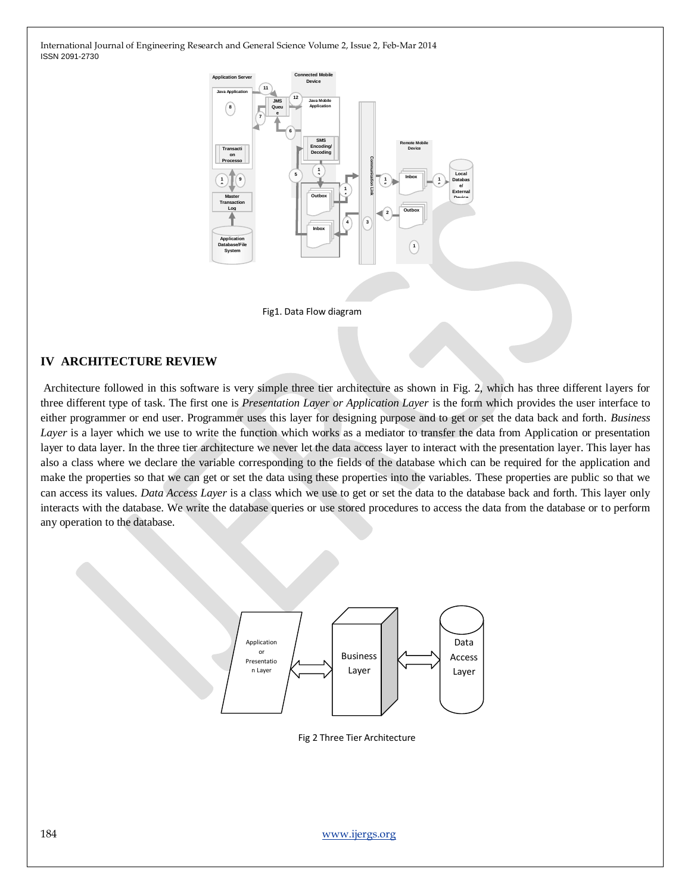

Fig1. Data Flow diagram

## **IV ARCHITECTURE REVIEW**

Architecture followed in this software is very simple three tier architecture as shown in Fig. 2, which has three different layers for three different type of task. The first one is *Presentation Layer or Application Layer* is the form which provides the user interface to either programmer or end user. Programmer uses this layer for designing purpose and to get or set the data back and forth. *Business Layer* is a layer which we use to write the function which works as a mediator to transfer the data from Application or presentation layer to data layer. In the three tier architecture we never let the data access layer to interact with the presentation layer. This layer has also a class where we declare the variable corresponding to the fields of the database which can be required for the application and make the properties so that we can get or set the data using these properties into the variables. These properties are public so that we can access its values. *Data Access Layer* is a class which we use to get or set the data to the database back and forth. This layer only interacts with the database. We write the database queries or use stored procedures to access the data from the database or to perform any operation to the database.



Fig 2 Three Tier Architecture

184 [www.ijergs.org](http://www.ijergs.org/)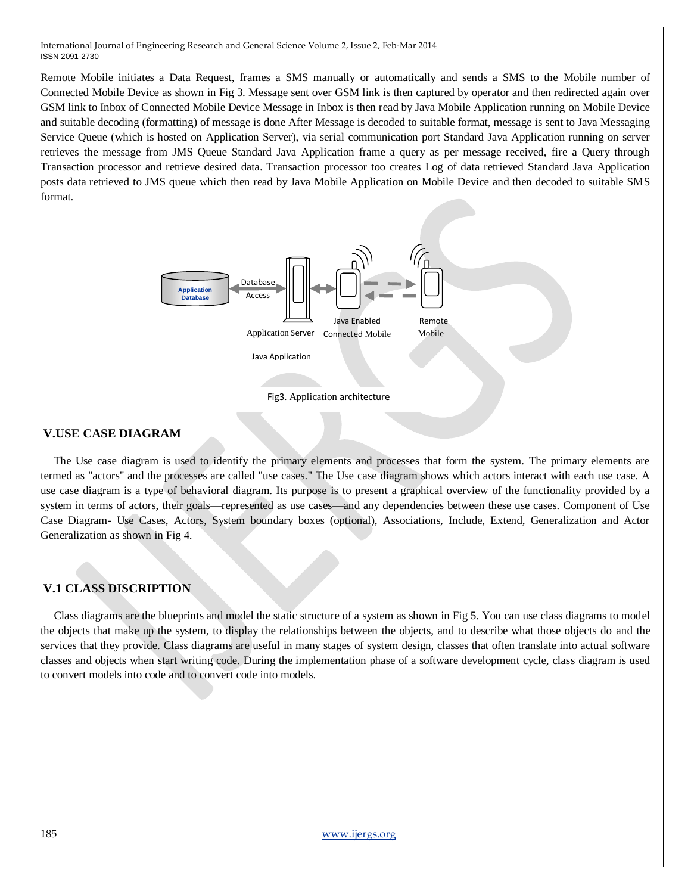Remote Mobile initiates a Data Request, frames a SMS manually or automatically and sends a SMS to the Mobile number of Connected Mobile Device as shown in Fig 3. Message sent over GSM link is then captured by operator and then redirected again over GSM link to Inbox of Connected Mobile Device Message in Inbox is then read by Java Mobile Application running on Mobile Device and suitable decoding (formatting) of message is done After Message is decoded to suitable format, message is sent to Java Messaging Service Queue (which is hosted on Application Server), via serial communication port Standard Java Application running on server retrieves the message from JMS Queue Standard Java Application frame a query as per message received, fire a Query through Transaction processor and retrieve desired data. Transaction processor too creates Log of data retrieved Standard Java Application posts data retrieved to JMS queue which then read by Java Mobile Application on Mobile Device and then decoded to suitable SMS format.



### **V.USE CASE DIAGRAM**

The Use case diagram is used to identify the primary elements and processes that form the system. The primary elements are termed as "actors" and the processes are called "use cases." The Use case diagram shows which actors interact with each use case. A use case diagram is a type of behavioral diagram. Its purpose is to present a graphical overview of the functionality provided by a system in terms of actors, their goals—represented as use cases—and any dependencies between these use cases. Component of Use Case Diagram- Use Cases, Actors, System boundary boxes (optional), Associations, Include, Extend, Generalization and Actor Generalization as shown in Fig 4.

## **V.1 CLASS DISCRIPTION**

Class diagrams are the blueprints and model the static structure of a system as shown in Fig 5. You can use class diagrams to model the objects that make up the system, to display the relationships between the objects, and to describe what those objects do and the services that they provide. Class diagrams are useful in many stages of system design, classes that often translate into actual software classes and objects when start writing code. During the implementation phase of a software development cycle, class diagram is used to convert models into code and to convert code into models.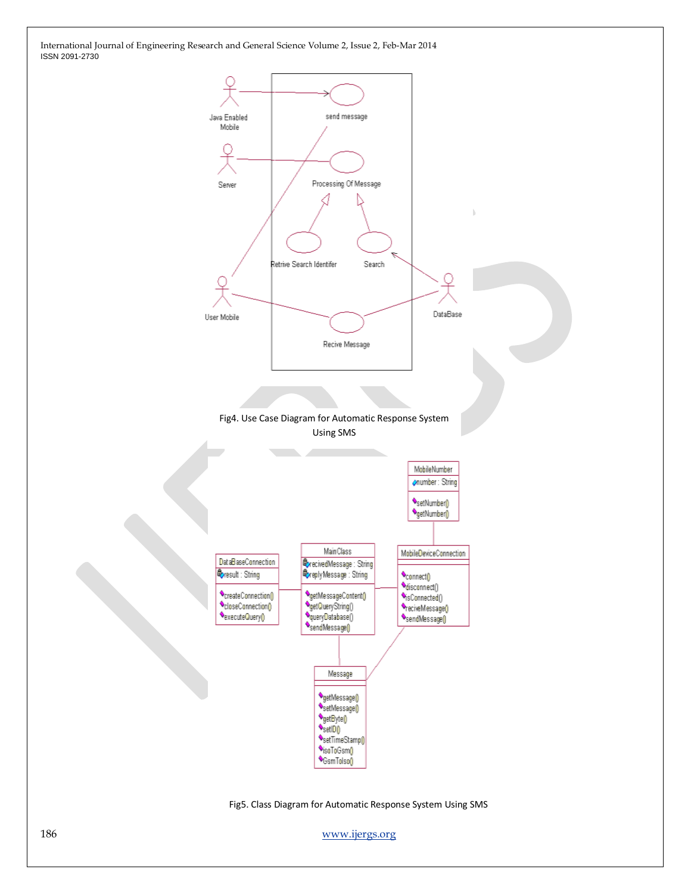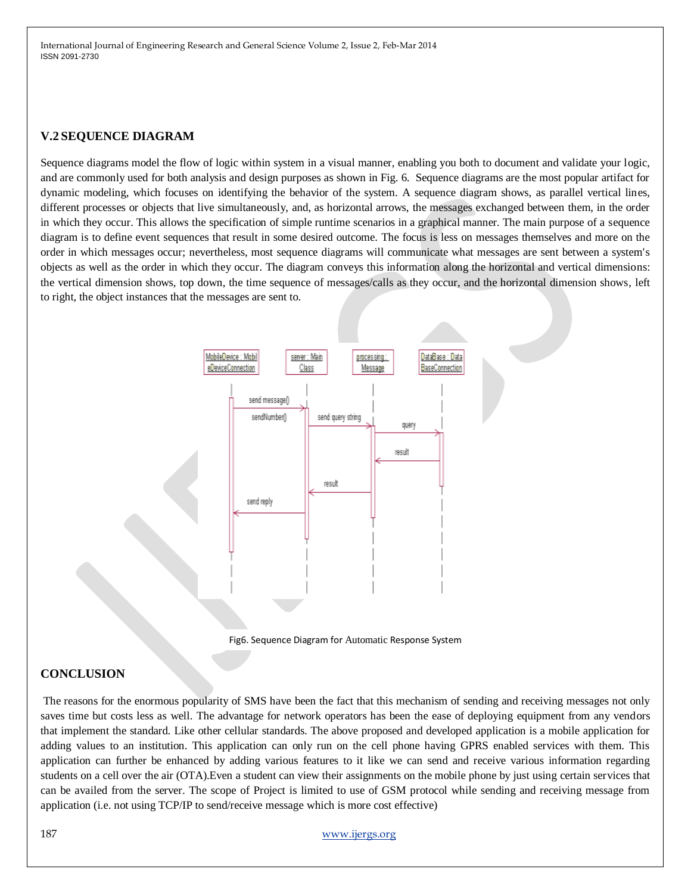# **V.2 SEQUENCE DIAGRAM**

Sequence diagrams model the flow of logic within system in a visual manner, enabling you both to document and validate your logic, and are commonly used for both analysis and design purposes as shown in Fig. 6. Sequence diagrams are the most popular artifact for dynamic modeling, which focuses on identifying the behavior of the system. A sequence diagram shows, as parallel vertical lines, different processes or objects that live simultaneously, and, as horizontal arrows, the messages exchanged between them, in the order in which they occur. This allows the specification of simple runtime scenarios in a graphical manner. The main purpose of a sequence diagram is to define event sequences that result in some desired outcome. The focus is less on messages themselves and more on the order in which messages occur; nevertheless, most sequence diagrams will communicate what messages are sent between a system's objects as well as the order in which they occur. The diagram conveys this information along the horizontal and vertical dimensions: the vertical dimension shows, top down, the time sequence of messages/calls as they occur, and the horizontal dimension shows, left to right, the object instances that the messages are sent to.



Fig6. Sequence Diagram for Automatic Response System

# **CONCLUSION**

The reasons for the enormous popularity of SMS have been the fact that this mechanism of sending and receiving messages not only saves time but costs less as well. The advantage for network operators has been the ease of deploying equipment from any vendors that implement the standard. Like other cellular standards. The above proposed and developed application is a mobile application for adding values to an institution. This application can only run on the cell phone having GPRS enabled services with them. This application can further be enhanced by adding various features to it like we can send and receive various information regarding students on a cell over the air (OTA).Even a student can view their assignments on the mobile phone by just using certain services that can be availed from the server. The scope of Project is limited to use of GSM protocol while sending and receiving message from application (i.e. not using TCP/IP to send/receive message which is more cost effective)